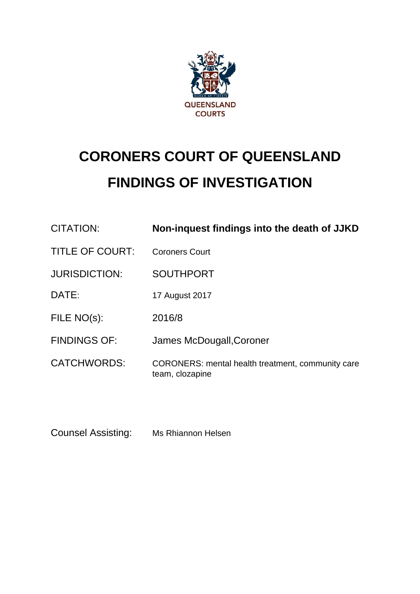

# **CORONERS COURT OF QUEENSLAND FINDINGS OF INVESTIGATION**

| CITATION:              | Non-inquest findings into the death of JJKD                          |
|------------------------|----------------------------------------------------------------------|
| <b>TITLE OF COURT:</b> | <b>Coroners Court</b>                                                |
| <b>JURISDICTION:</b>   | <b>SOUTHPORT</b>                                                     |
| DATE:                  | 17 August 2017                                                       |
| FILE NO(s):            | 2016/8                                                               |
| <b>FINDINGS OF:</b>    | James McDougall, Coroner                                             |
| <b>CATCHWORDS:</b>     | CORONERS: mental health treatment, community care<br>team, clozapine |

Counsel Assisting: Ms Rhiannon Helsen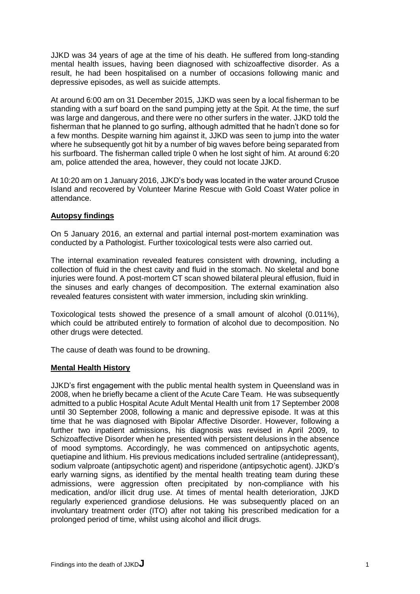JJKD was 34 years of age at the time of his death. He suffered from long-standing mental health issues, having been diagnosed with schizoaffective disorder. As a result, he had been hospitalised on a number of occasions following manic and depressive episodes, as well as suicide attempts.

At around 6:00 am on 31 December 2015, JJKD was seen by a local fisherman to be standing with a surf board on the sand pumping jetty at the Spit. At the time, the surf was large and dangerous, and there were no other surfers in the water. JJKD told the fisherman that he planned to go surfing, although admitted that he hadn't done so for a few months. Despite warning him against it, JJKD was seen to jump into the water where he subsequently got hit by a number of big waves before being separated from his surfboard. The fisherman called triple 0 when he lost sight of him. At around 6:20 am, police attended the area, however, they could not locate JJKD.

At 10:20 am on 1 January 2016, JJKD's body was located in the water around Crusoe Island and recovered by Volunteer Marine Rescue with Gold Coast Water police in attendance.

# **Autopsy findings**

On 5 January 2016, an external and partial internal post-mortem examination was conducted by a Pathologist. Further toxicological tests were also carried out.

The internal examination revealed features consistent with drowning, including a collection of fluid in the chest cavity and fluid in the stomach. No skeletal and bone injuries were found. A post-mortem CT scan showed bilateral pleural effusion, fluid in the sinuses and early changes of decomposition. The external examination also revealed features consistent with water immersion, including skin wrinkling.

Toxicological tests showed the presence of a small amount of alcohol (0.011%), which could be attributed entirely to formation of alcohol due to decomposition. No other drugs were detected.

The cause of death was found to be drowning.

# **Mental Health History**

JJKD's first engagement with the public mental health system in Queensland was in 2008, when he briefly became a client of the Acute Care Team. He was subsequently admitted to a public Hospital Acute Adult Mental Health unit from 17 September 2008 until 30 September 2008, following a manic and depressive episode. It was at this time that he was diagnosed with Bipolar Affective Disorder. However, following a further two inpatient admissions, his diagnosis was revised in April 2009, to Schizoaffective Disorder when he presented with persistent delusions in the absence of mood symptoms. Accordingly, he was commenced on antipsychotic agents, quetiapine and lithium. His previous medications included sertraline (antidepressant), sodium valproate (antipsychotic agent) and risperidone (antipsychotic agent). JJKD's early warning signs, as identified by the mental health treating team during these admissions, were aggression often precipitated by non-compliance with his medication, and/or illicit drug use. At times of mental health deterioration, JJKD regularly experienced grandiose delusions. He was subsequently placed on an involuntary treatment order (ITO) after not taking his prescribed medication for a prolonged period of time, whilst using alcohol and illicit drugs.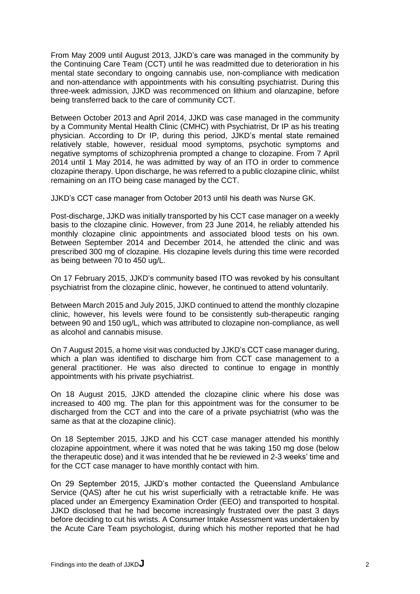From May 2009 until August 2013, JJKD's care was managed in the community by the Continuing Care Team (CCT) until he was readmitted due to deterioration in his mental state secondary to ongoing cannabis use, non-compliance with medication and non-attendance with appointments with his consulting psychiatrist. During this three-week admission, JJKD was recommenced on lithium and olanzapine, before being transferred back to the care of community CCT.

Between October 2013 and April 2014, JJKD was case managed in the community by a Community Mental Health Clinic (CMHC) with Psychiatrist, Dr IP as his treating physician. According to Dr IP, during this period, JJKD's mental state remained relatively stable, however, residual mood symptoms, psychotic symptoms and negative symptoms of schizophrenia prompted a change to clozapine. From 7 April 2014 until 1 May 2014, he was admitted by way of an ITO in order to commence clozapine therapy. Upon discharge, he was referred to a public clozapine clinic, whilst remaining on an ITO being case managed by the CCT.

JJKD's CCT case manager from October 2013 until his death was Nurse GK.

Post-discharge, JJKD was initially transported by his CCT case manager on a weekly basis to the clozapine clinic. However, from 23 June 2014, he reliably attended his monthly clozapine clinic appointments and associated blood tests on his own. Between September 2014 and December 2014, he attended the clinic and was prescribed 300 mg of clozapine. His clozapine levels during this time were recorded as being between 70 to 450 ug/L.

On 17 February 2015, JJKD's community based ITO was revoked by his consultant psychiatrist from the clozapine clinic, however, he continued to attend voluntarily.

Between March 2015 and July 2015, JJKD continued to attend the monthly clozapine clinic, however, his levels were found to be consistently sub-therapeutic ranging between 90 and 150 ug/L, which was attributed to clozapine non-compliance, as well as alcohol and cannabis misuse.

On 7 August 2015, a home visit was conducted by JJKD's CCT case manager during, which a plan was identified to discharge him from CCT case management to a general practitioner. He was also directed to continue to engage in monthly appointments with his private psychiatrist.

On 18 August 2015, JJKD attended the clozapine clinic where his dose was increased to 400 mg. The plan for this appointment was for the consumer to be discharged from the CCT and into the care of a private psychiatrist (who was the same as that at the clozapine clinic).

On 18 September 2015, JJKD and his CCT case manager attended his monthly clozapine appointment, where it was noted that he was taking 150 mg dose (below the therapeutic dose) and it was intended that he be reviewed in 2-3 weeks' time and for the CCT case manager to have monthly contact with him.

On 29 September 2015, JJKD's mother contacted the Queensland Ambulance Service (QAS) after he cut his wrist superficially with a retractable knife. He was placed under an Emergency Examination Order (EEO) and transported to hospital. JJKD disclosed that he had become increasingly frustrated over the past 3 days before deciding to cut his wrists. A Consumer Intake Assessment was undertaken by the Acute Care Team psychologist, during which his mother reported that he had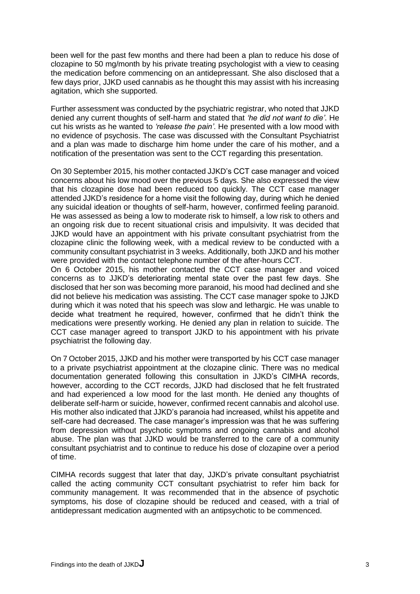been well for the past few months and there had been a plan to reduce his dose of clozapine to 50 mg/month by his private treating psychologist with a view to ceasing the medication before commencing on an antidepressant. She also disclosed that a few days prior, JJKD used cannabis as he thought this may assist with his increasing agitation, which she supported.

Further assessment was conducted by the psychiatric registrar, who noted that JJKD denied any current thoughts of self-harm and stated that *'he did not want to die'*. He cut his wrists as he wanted to *'release the pain'*. He presented with a low mood with no evidence of psychosis. The case was discussed with the Consultant Psychiatrist and a plan was made to discharge him home under the care of his mother, and a notification of the presentation was sent to the CCT regarding this presentation.

On 30 September 2015, his mother contacted JJKD's CCT case manager and voiced concerns about his low mood over the previous 5 days. She also expressed the view that his clozapine dose had been reduced too quickly. The CCT case manager attended JJKD's residence for a home visit the following day, during which he denied any suicidal ideation or thoughts of self-harm, however, confirmed feeling paranoid. He was assessed as being a low to moderate risk to himself, a low risk to others and an ongoing risk due to recent situational crisis and impulsivity. It was decided that JJKD would have an appointment with his private consultant psychiatrist from the clozapine clinic the following week, with a medical review to be conducted with a community consultant psychiatrist in 3 weeks. Additionally, both JJKD and his mother were provided with the contact telephone number of the after-hours CCT.

On 6 October 2015, his mother contacted the CCT case manager and voiced concerns as to JJKD's deteriorating mental state over the past few days. She disclosed that her son was becoming more paranoid, his mood had declined and she did not believe his medication was assisting. The CCT case manager spoke to JJKD during which it was noted that his speech was slow and lethargic. He was unable to decide what treatment he required, however, confirmed that he didn't think the medications were presently working. He denied any plan in relation to suicide. The CCT case manager agreed to transport JJKD to his appointment with his private psychiatrist the following day.

On 7 October 2015, JJKD and his mother were transported by his CCT case manager to a private psychiatrist appointment at the clozapine clinic. There was no medical documentation generated following this consultation in JJKD's CIMHA records, however, according to the CCT records, JJKD had disclosed that he felt frustrated and had experienced a low mood for the last month. He denied any thoughts of deliberate self-harm or suicide, however, confirmed recent cannabis and alcohol use. His mother also indicated that JJKD's paranoia had increased, whilst his appetite and self-care had decreased. The case manager's impression was that he was suffering from depression without psychotic symptoms and ongoing cannabis and alcohol abuse. The plan was that JJKD would be transferred to the care of a community consultant psychiatrist and to continue to reduce his dose of clozapine over a period of time.

CIMHA records suggest that later that day, JJKD's private consultant psychiatrist called the acting community CCT consultant psychiatrist to refer him back for community management. It was recommended that in the absence of psychotic symptoms, his dose of clozapine should be reduced and ceased, with a trial of antidepressant medication augmented with an antipsychotic to be commenced.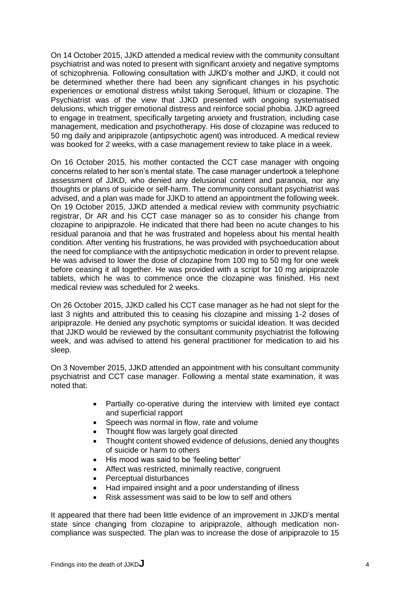On 14 October 2015, JJKD attended a medical review with the community consultant psychiatrist and was noted to present with significant anxiety and negative symptoms of schizophrenia. Following consultation with JJKD's mother and JJKD, it could not be determined whether there had been any significant changes in his psychotic experiences or emotional distress whilst taking Seroquel, lithium or clozapine. The Psychiatrist was of the view that JJKD presented with ongoing systematised delusions, which trigger emotional distress and reinforce social phobia. JJKD agreed to engage in treatment, specifically targeting anxiety and frustration, including case management, medication and psychotherapy. His dose of clozapine was reduced to 50 mg daily and aripiprazole (antipsychotic agent) was introduced. A medical review was booked for 2 weeks, with a case management review to take place in a week.

On 16 October 2015, his mother contacted the CCT case manager with ongoing concerns related to her son's mental state. The case manager undertook a telephone assessment of JJKD, who denied any delusional content and paranoia, nor any thoughts or plans of suicide or self-harm. The community consultant psychiatrist was advised, and a plan was made for JJKD to attend an appointment the following week. On 19 October 2015, JJKD attended a medical review with community psychiatric registrar, Dr AR and his CCT case manager so as to consider his change from clozapine to aripiprazole. He indicated that there had been no acute changes to his residual paranoia and that he was frustrated and hopeless about his mental health condition. After venting his frustrations, he was provided with psychoeducation about the need for compliance with the antipsychotic medication in order to prevent relapse. He was advised to lower the dose of clozapine from 100 mg to 50 mg for one week before ceasing it all together. He was provided with a script for 10 mg aripiprazole tablets, which he was to commence once the clozapine was finished. His next medical review was scheduled for 2 weeks.

On 26 October 2015, JJKD called his CCT case manager as he had not slept for the last 3 nights and attributed this to ceasing his clozapine and missing 1-2 doses of aripiprazole. He denied any psychotic symptoms or suicidal ideation. It was decided that JJKD would be reviewed by the consultant community psychiatrist the following week, and was advised to attend his general practitioner for medication to aid his sleep.

On 3 November 2015, JJKD attended an appointment with his consultant community psychiatrist and CCT case manager. Following a mental state examination, it was noted that:

- Partially co-operative during the interview with limited eye contact and superficial rapport
- Speech was normal in flow, rate and volume
- Thought flow was largely goal directed
- Thought content showed evidence of delusions, denied any thoughts of suicide or harm to others
- His mood was said to be 'feeling better'
- Affect was restricted, minimally reactive, congruent
- Perceptual disturbances
- Had impaired insight and a poor understanding of illness
- Risk assessment was said to be low to self and others

It appeared that there had been little evidence of an improvement in JJKD's mental state since changing from clozapine to aripiprazole, although medication noncompliance was suspected. The plan was to increase the dose of aripiprazole to 15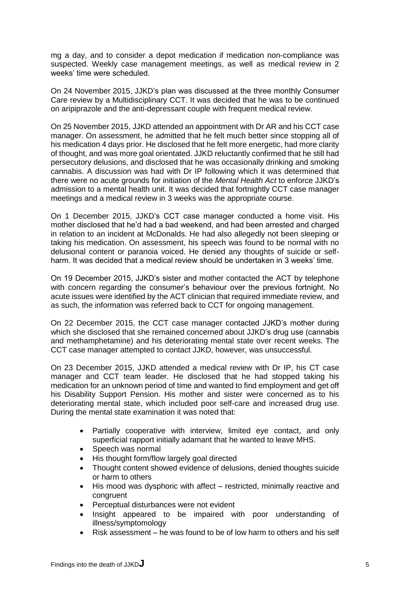mg a day, and to consider a depot medication if medication non-compliance was suspected. Weekly case management meetings, as well as medical review in 2 weeks' time were scheduled.

On 24 November 2015, JJKD's plan was discussed at the three monthly Consumer Care review by a Multidisciplinary CCT. It was decided that he was to be continued on aripiprazole and the anti-depressant couple with frequent medical review.

On 25 November 2015, JJKD attended an appointment with Dr AR and his CCT case manager. On assessment, he admitted that he felt much better since stopping all of his medication 4 days prior. He disclosed that he felt more energetic, had more clarity of thought, and was more goal orientated. JJKD reluctantly confirmed that he still had persecutory delusions, and disclosed that he was occasionally drinking and smoking cannabis. A discussion was had with Dr IP following which it was determined that there were no acute grounds for initiation of the *Mental Health Act* to enforce JJKD's admission to a mental health unit. It was decided that fortnightly CCT case manager meetings and a medical review in 3 weeks was the appropriate course.

On 1 December 2015, JJKD's CCT case manager conducted a home visit. His mother disclosed that he'd had a bad weekend, and had been arrested and charged in relation to an incident at McDonalds. He had also allegedly not been sleeping or taking his medication. On assessment, his speech was found to be normal with no delusional content or paranoia voiced. He denied any thoughts of suicide or selfharm. It was decided that a medical review should be undertaken in 3 weeks' time.

On 19 December 2015, JJKD's sister and mother contacted the ACT by telephone with concern regarding the consumer's behaviour over the previous fortnight. No acute issues were identified by the ACT clinician that required immediate review, and as such, the information was referred back to CCT for ongoing management.

On 22 December 2015, the CCT case manager contacted JJKD's mother during which she disclosed that she remained concerned about JJKD's drug use (cannabis and methamphetamine) and his deteriorating mental state over recent weeks. The CCT case manager attempted to contact JJKD, however, was unsuccessful.

On 23 December 2015, JJKD attended a medical review with Dr IP, his CT case manager and CCT team leader. He disclosed that he had stopped taking his medication for an unknown period of time and wanted to find employment and get off his Disability Support Pension. His mother and sister were concerned as to his deteriorating mental state, which included poor self-care and increased drug use. During the mental state examination it was noted that:

- Partially cooperative with interview, limited eye contact, and only superficial rapport initially adamant that he wanted to leave MHS.
- Speech was normal
- His thought form/flow largely goal directed
- Thought content showed evidence of delusions, denied thoughts suicide or harm to others
- His mood was dysphoric with affect restricted, minimally reactive and congruent
- Perceptual disturbances were not evident
- Insight appeared to be impaired with poor understanding of illness/symptomology
- Risk assessment he was found to be of low harm to others and his self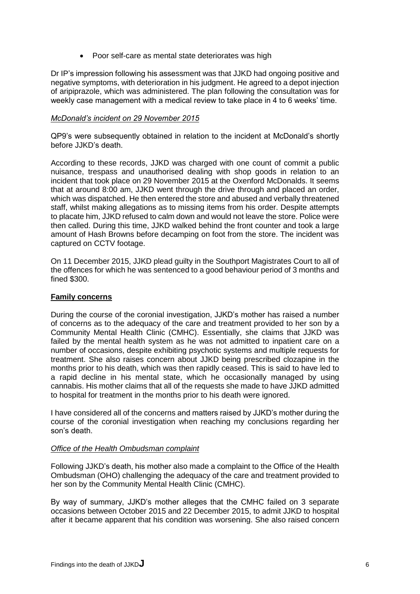• Poor self-care as mental state deteriorates was high

Dr IP's impression following his assessment was that JJKD had ongoing positive and negative symptoms, with deterioration in his judgment. He agreed to a depot injection of aripiprazole, which was administered. The plan following the consultation was for weekly case management with a medical review to take place in 4 to 6 weeks' time.

#### *McDonald's incident on 29 November 2015*

QP9's were subsequently obtained in relation to the incident at McDonald's shortly before JJKD's death

According to these records, JJKD was charged with one count of commit a public nuisance, trespass and unauthorised dealing with shop goods in relation to an incident that took place on 29 November 2015 at the Oxenford McDonalds. It seems that at around 8:00 am, JJKD went through the drive through and placed an order, which was dispatched. He then entered the store and abused and verbally threatened staff, whilst making allegations as to missing items from his order. Despite attempts to placate him, JJKD refused to calm down and would not leave the store. Police were then called. During this time, JJKD walked behind the front counter and took a large amount of Hash Browns before decamping on foot from the store. The incident was captured on CCTV footage.

On 11 December 2015, JJKD plead guilty in the Southport Magistrates Court to all of the offences for which he was sentenced to a good behaviour period of 3 months and fined \$300.

#### **Family concerns**

During the course of the coronial investigation, JJKD's mother has raised a number of concerns as to the adequacy of the care and treatment provided to her son by a Community Mental Health Clinic (CMHC). Essentially, she claims that JJKD was failed by the mental health system as he was not admitted to inpatient care on a number of occasions, despite exhibiting psychotic systems and multiple requests for treatment. She also raises concern about JJKD being prescribed clozapine in the months prior to his death, which was then rapidly ceased. This is said to have led to a rapid decline in his mental state, which he occasionally managed by using cannabis. His mother claims that all of the requests she made to have JJKD admitted to hospital for treatment in the months prior to his death were ignored.

I have considered all of the concerns and matters raised by JJKD's mother during the course of the coronial investigation when reaching my conclusions regarding her son's death.

#### *Office of the Health Ombudsman complaint*

Following JJKD's death, his mother also made a complaint to the Office of the Health Ombudsman (OHO) challenging the adequacy of the care and treatment provided to her son by the Community Mental Health Clinic (CMHC).

By way of summary, JJKD's mother alleges that the CMHC failed on 3 separate occasions between October 2015 and 22 December 2015, to admit JJKD to hospital after it became apparent that his condition was worsening. She also raised concern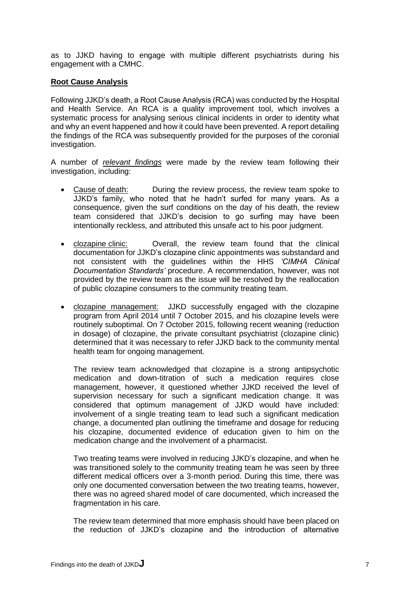as to JJKD having to engage with multiple different psychiatrists during his engagement with a CMHC.

## **Root Cause Analysis**

Following JJKD's death, a Root Cause Analysis (RCA) was conducted by the Hospital and Health Service. An RCA is a quality improvement tool, which involves a systematic process for analysing serious clinical incidents in order to identity what and why an event happened and how it could have been prevented. A report detailing the findings of the RCA was subsequently provided for the purposes of the coronial investigation.

A number of *relevant findings* were made by the review team following their investigation, including:

- Cause of death: During the review process, the review team spoke to JJKD's family, who noted that he hadn't surfed for many years. As a consequence, given the surf conditions on the day of his death, the review team considered that JJKD's decision to go surfing may have been intentionally reckless, and attributed this unsafe act to his poor judgment.
- clozapine clinic: Overall, the review team found that the clinical documentation for JJKD's clozapine clinic appointments was substandard and not consistent with the guidelines within the HHS *'CIMHA Clinical Documentation Standards'* procedure. A recommendation, however, was not provided by the review team as the issue will be resolved by the reallocation of public clozapine consumers to the community treating team.
- clozapine management: JJKD successfully engaged with the clozapine program from April 2014 until 7 October 2015, and his clozapine levels were routinely suboptimal. On 7 October 2015, following recent weaning (reduction in dosage) of clozapine, the private consultant psychiatrist (clozapine clinic) determined that it was necessary to refer JJKD back to the community mental health team for ongoing management.

The review team acknowledged that clozapine is a strong antipsychotic medication and down-titration of such a medication requires close management, however, it questioned whether JJKD received the level of supervision necessary for such a significant medication change. It was considered that optimum management of JJKD would have included: involvement of a single treating team to lead such a significant medication change, a documented plan outlining the timeframe and dosage for reducing his clozapine, documented evidence of education given to him on the medication change and the involvement of a pharmacist.

Two treating teams were involved in reducing JJKD's clozapine, and when he was transitioned solely to the community treating team he was seen by three different medical officers over a 3-month period. During this time, there was only one documented conversation between the two treating teams, however, there was no agreed shared model of care documented, which increased the fragmentation in his care.

The review team determined that more emphasis should have been placed on the reduction of JJKD's clozapine and the introduction of alternative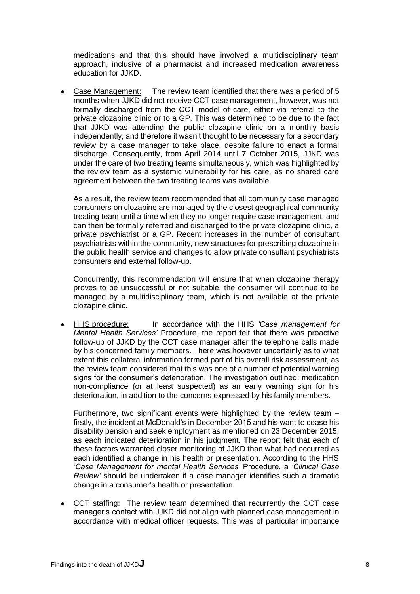medications and that this should have involved a multidisciplinary team approach, inclusive of a pharmacist and increased medication awareness education for JJKD.

 Case Management: The review team identified that there was a period of 5 months when JJKD did not receive CCT case management, however, was not formally discharged from the CCT model of care, either via referral to the private clozapine clinic or to a GP. This was determined to be due to the fact that JJKD was attending the public clozapine clinic on a monthly basis independently, and therefore it wasn't thought to be necessary for a secondary review by a case manager to take place, despite failure to enact a formal discharge. Consequently, from April 2014 until 7 October 2015, JJKD was under the care of two treating teams simultaneously, which was highlighted by the review team as a systemic vulnerability for his care, as no shared care agreement between the two treating teams was available.

As a result, the review team recommended that all community case managed consumers on clozapine are managed by the closest geographical community treating team until a time when they no longer require case management, and can then be formally referred and discharged to the private clozapine clinic, a private psychiatrist or a GP. Recent increases in the number of consultant psychiatrists within the community, new structures for prescribing clozapine in the public health service and changes to allow private consultant psychiatrists consumers and external follow-up.

Concurrently, this recommendation will ensure that when clozapine therapy proves to be unsuccessful or not suitable, the consumer will continue to be managed by a multidisciplinary team, which is not available at the private clozapine clinic.

 HHS procedure: In accordance with the HHS *'Case management for Mental Health Services'* Procedure, the report felt that there was proactive follow-up of JJKD by the CCT case manager after the telephone calls made by his concerned family members. There was however uncertainly as to what extent this collateral information formed part of his overall risk assessment, as the review team considered that this was one of a number of potential warning signs for the consumer's deterioration. The investigation outlined: medication non-compliance (or at least suspected) as an early warning sign for his deterioration, in addition to the concerns expressed by his family members.

Furthermore, two significant events were highlighted by the review team – firstly, the incident at McDonald's in December 2015 and his want to cease his disability pension and seek employment as mentioned on 23 December 2015, as each indicated deterioration in his judgment. The report felt that each of these factors warranted closer monitoring of JJKD than what had occurred as each identified a change in his health or presentation. According to the HHS *'Case Management for mental Health Services*' Procedure, a *'Clinical Case Review'* should be undertaken if a case manager identifies such a dramatic change in a consumer's health or presentation.

 CCT staffing: The review team determined that recurrently the CCT case manager's contact with JJKD did not align with planned case management in accordance with medical officer requests. This was of particular importance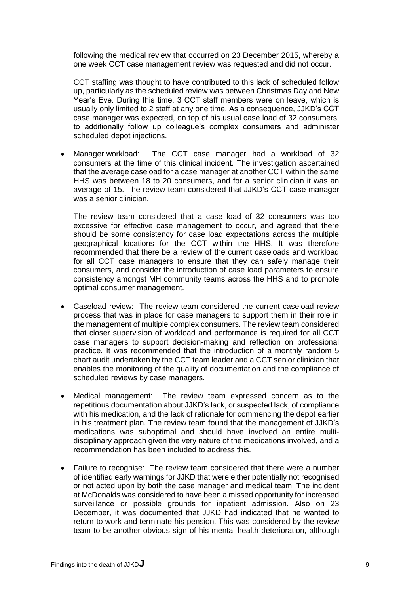following the medical review that occurred on 23 December 2015, whereby a one week CCT case management review was requested and did not occur.

CCT staffing was thought to have contributed to this lack of scheduled follow up, particularly as the scheduled review was between Christmas Day and New Year's Eve. During this time, 3 CCT staff members were on leave, which is usually only limited to 2 staff at any one time. As a consequence, JJKD's CCT case manager was expected, on top of his usual case load of 32 consumers, to additionally follow up colleague's complex consumers and administer scheduled depot injections.

 Manager workload: The CCT case manager had a workload of 32 consumers at the time of this clinical incident. The investigation ascertained that the average caseload for a case manager at another CCT within the same HHS was between 18 to 20 consumers, and for a senior clinician it was an average of 15. The review team considered that JJKD's CCT case manager was a senior clinician.

The review team considered that a case load of 32 consumers was too excessive for effective case management to occur, and agreed that there should be some consistency for case load expectations across the multiple geographical locations for the CCT within the HHS. It was therefore recommended that there be a review of the current caseloads and workload for all CCT case managers to ensure that they can safely manage their consumers, and consider the introduction of case load parameters to ensure consistency amongst MH community teams across the HHS and to promote optimal consumer management.

- Caseload review: The review team considered the current caseload review process that was in place for case managers to support them in their role in the management of multiple complex consumers. The review team considered that closer supervision of workload and performance is required for all CCT case managers to support decision-making and reflection on professional practice. It was recommended that the introduction of a monthly random 5 chart audit undertaken by the CCT team leader and a CCT senior clinician that enables the monitoring of the quality of documentation and the compliance of scheduled reviews by case managers.
- Medical management: The review team expressed concern as to the repetitious documentation about JJKD's lack, or suspected lack, of compliance with his medication, and the lack of rationale for commencing the depot earlier in his treatment plan. The review team found that the management of JJKD's medications was suboptimal and should have involved an entire multidisciplinary approach given the very nature of the medications involved, and a recommendation has been included to address this.
- Failure to recognise: The review team considered that there were a number of identified early warnings for JJKD that were either potentially not recognised or not acted upon by both the case manager and medical team. The incident at McDonalds was considered to have been a missed opportunity for increased surveillance or possible grounds for inpatient admission. Also on 23 December, it was documented that JJKD had indicated that he wanted to return to work and terminate his pension. This was considered by the review team to be another obvious sign of his mental health deterioration, although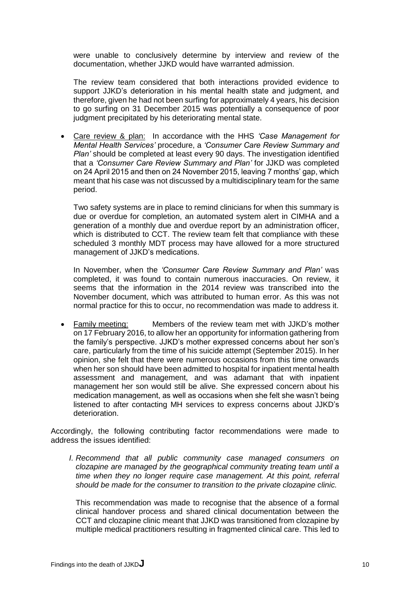were unable to conclusively determine by interview and review of the documentation, whether JJKD would have warranted admission.

The review team considered that both interactions provided evidence to support JJKD's deterioration in his mental health state and judgment, and therefore, given he had not been surfing for approximately 4 years, his decision to go surfing on 31 December 2015 was potentially a consequence of poor judgment precipitated by his deteriorating mental state.

 Care review & plan: In accordance with the HHS *'Case Management for Mental Health Services'* procedure, a *'Consumer Care Review Summary and Plan'* should be completed at least every 90 days. The investigation identified that a *'Consumer Care Review Summary and Plan'* for JJKD was completed on 24 April 2015 and then on 24 November 2015, leaving 7 months' gap, which meant that his case was not discussed by a multidisciplinary team for the same period.

Two safety systems are in place to remind clinicians for when this summary is due or overdue for completion, an automated system alert in CIMHA and a generation of a monthly due and overdue report by an administration officer, which is distributed to CCT. The review team felt that compliance with these scheduled 3 monthly MDT process may have allowed for a more structured management of JJKD's medications.

In November, when the *'Consumer Care Review Summary and Plan'* was completed, it was found to contain numerous inaccuracies. On review, it seems that the information in the 2014 review was transcribed into the November document, which was attributed to human error. As this was not normal practice for this to occur, no recommendation was made to address it.

 Family meeting: Members of the review team met with JJKD's mother on 17 February 2016, to allow her an opportunity for information gathering from the family's perspective. JJKD's mother expressed concerns about her son's care, particularly from the time of his suicide attempt (September 2015). In her opinion, she felt that there were numerous occasions from this time onwards when her son should have been admitted to hospital for inpatient mental health assessment and management, and was adamant that with inpatient management her son would still be alive. She expressed concern about his medication management, as well as occasions when she felt she wasn't being listened to after contacting MH services to express concerns about JJKD's deterioration.

Accordingly, the following contributing factor recommendations were made to address the issues identified:

*I. Recommend that all public community case managed consumers on clozapine are managed by the geographical community treating team until a time when they no longer require case management. At this point, referral should be made for the consumer to transition to the private clozapine clinic.* 

This recommendation was made to recognise that the absence of a formal clinical handover process and shared clinical documentation between the CCT and clozapine clinic meant that JJKD was transitioned from clozapine by multiple medical practitioners resulting in fragmented clinical care. This led to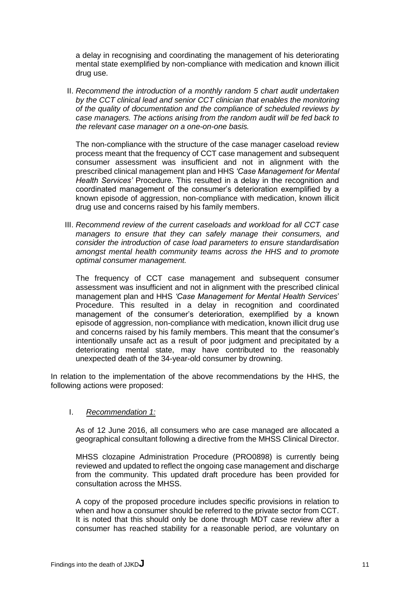a delay in recognising and coordinating the management of his deteriorating mental state exemplified by non-compliance with medication and known illicit drug use.

II. *Recommend the introduction of a monthly random 5 chart audit undertaken by the CCT clinical lead and senior CCT clinician that enables the monitoring of the quality of documentation and the compliance of scheduled reviews by case managers. The actions arising from the random audit will be fed back to the relevant case manager on a one-on-one basis.*

The non-compliance with the structure of the case manager caseload review process meant that the frequency of CCT case management and subsequent consumer assessment was insufficient and not in alignment with the prescribed clinical management plan and HHS *'Case Management for Mental Health Services'* Procedure. This resulted in a delay in the recognition and coordinated management of the consumer's deterioration exemplified by a known episode of aggression, non-compliance with medication, known illicit drug use and concerns raised by his family members.

III. *Recommend review of the current caseloads and workload for all CCT case managers to ensure that they can safely manage their consumers, and consider the introduction of case load parameters to ensure standardisation amongst mental health community teams across the HHS and to promote optimal consumer management.* 

The frequency of CCT case management and subsequent consumer assessment was insufficient and not in alignment with the prescribed clinical management plan and HHS *'Case Management for Mental Health Services*' Procedure. This resulted in a delay in recognition and coordinated management of the consumer's deterioration, exemplified by a known episode of aggression, non-compliance with medication, known illicit drug use and concerns raised by his family members. This meant that the consumer's intentionally unsafe act as a result of poor judgment and precipitated by a deteriorating mental state, may have contributed to the reasonably unexpected death of the 34-year-old consumer by drowning.

In relation to the implementation of the above recommendations by the HHS, the following actions were proposed:

#### I. *Recommendation 1:*

As of 12 June 2016, all consumers who are case managed are allocated a geographical consultant following a directive from the MHSS Clinical Director.

MHSS clozapine Administration Procedure (PRO0898) is currently being reviewed and updated to reflect the ongoing case management and discharge from the community. This updated draft procedure has been provided for consultation across the MHSS.

A copy of the proposed procedure includes specific provisions in relation to when and how a consumer should be referred to the private sector from CCT. It is noted that this should only be done through MDT case review after a consumer has reached stability for a reasonable period, are voluntary on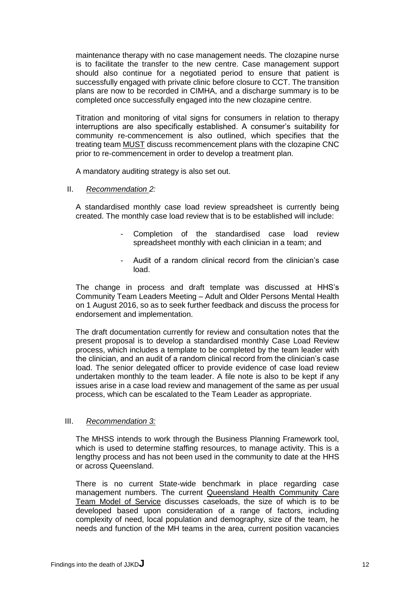maintenance therapy with no case management needs. The clozapine nurse is to facilitate the transfer to the new centre. Case management support should also continue for a negotiated period to ensure that patient is successfully engaged with private clinic before closure to CCT. The transition plans are now to be recorded in CIMHA, and a discharge summary is to be completed once successfully engaged into the new clozapine centre.

Titration and monitoring of vital signs for consumers in relation to therapy interruptions are also specifically established. A consumer's suitability for community re-commencement is also outlined, which specifies that the treating team MUST discuss recommencement plans with the clozapine CNC prior to re-commencement in order to develop a treatment plan.

A mandatory auditing strategy is also set out.

II. *Recommendation 2:* 

A standardised monthly case load review spreadsheet is currently being created. The monthly case load review that is to be established will include:

- Completion of the standardised case load review spreadsheet monthly with each clinician in a team; and
- Audit of a random clinical record from the clinician's case load.

The change in process and draft template was discussed at HHS's Community Team Leaders Meeting – Adult and Older Persons Mental Health on 1 August 2016, so as to seek further feedback and discuss the process for endorsement and implementation.

The draft documentation currently for review and consultation notes that the present proposal is to develop a standardised monthly Case Load Review process, which includes a template to be completed by the team leader with the clinician, and an audit of a random clinical record from the clinician's case load. The senior delegated officer to provide evidence of case load review undertaken monthly to the team leader. A file note is also to be kept if any issues arise in a case load review and management of the same as per usual process, which can be escalated to the Team Leader as appropriate.

#### III. *Recommendation 3:*

The MHSS intends to work through the Business Planning Framework tool, which is used to determine staffing resources, to manage activity. This is a lengthy process and has not been used in the community to date at the HHS or across Queensland.

There is no current State-wide benchmark in place regarding case management numbers. The current Queensland Health Community Care Team Model of Service discusses caseloads, the size of which is to be developed based upon consideration of a range of factors, including complexity of need, local population and demography, size of the team, he needs and function of the MH teams in the area, current position vacancies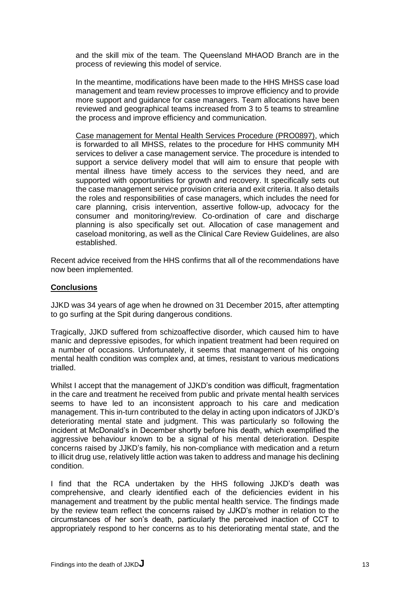and the skill mix of the team. The Queensland MHAOD Branch are in the process of reviewing this model of service.

In the meantime, modifications have been made to the HHS MHSS case load management and team review processes to improve efficiency and to provide more support and guidance for case managers. Team allocations have been reviewed and geographical teams increased from 3 to 5 teams to streamline the process and improve efficiency and communication.

Case management for Mental Health Services Procedure (PRO0897), which is forwarded to all MHSS, relates to the procedure for HHS community MH services to deliver a case management service. The procedure is intended to support a service delivery model that will aim to ensure that people with mental illness have timely access to the services they need, and are supported with opportunities for growth and recovery. It specifically sets out the case management service provision criteria and exit criteria. It also details the roles and responsibilities of case managers, which includes the need for care planning, crisis intervention, assertive follow-up, advocacy for the consumer and monitoring/review. Co-ordination of care and discharge planning is also specifically set out. Allocation of case management and caseload monitoring, as well as the Clinical Care Review Guidelines, are also established.

Recent advice received from the HHS confirms that all of the recommendations have now been implemented.

## **Conclusions**

JJKD was 34 years of age when he drowned on 31 December 2015, after attempting to go surfing at the Spit during dangerous conditions.

Tragically, JJKD suffered from schizoaffective disorder, which caused him to have manic and depressive episodes, for which inpatient treatment had been required on a number of occasions. Unfortunately, it seems that management of his ongoing mental health condition was complex and, at times, resistant to various medications trialled.

Whilst I accept that the management of JJKD's condition was difficult, fragmentation in the care and treatment he received from public and private mental health services seems to have led to an inconsistent approach to his care and medication management. This in-turn contributed to the delay in acting upon indicators of JJKD's deteriorating mental state and judgment. This was particularly so following the incident at McDonald's in December shortly before his death, which exemplified the aggressive behaviour known to be a signal of his mental deterioration. Despite concerns raised by JJKD's family, his non-compliance with medication and a return to illicit drug use, relatively little action was taken to address and manage his declining condition.

I find that the RCA undertaken by the HHS following JJKD's death was comprehensive, and clearly identified each of the deficiencies evident in his management and treatment by the public mental health service. The findings made by the review team reflect the concerns raised by JJKD's mother in relation to the circumstances of her son's death, particularly the perceived inaction of CCT to appropriately respond to her concerns as to his deteriorating mental state, and the